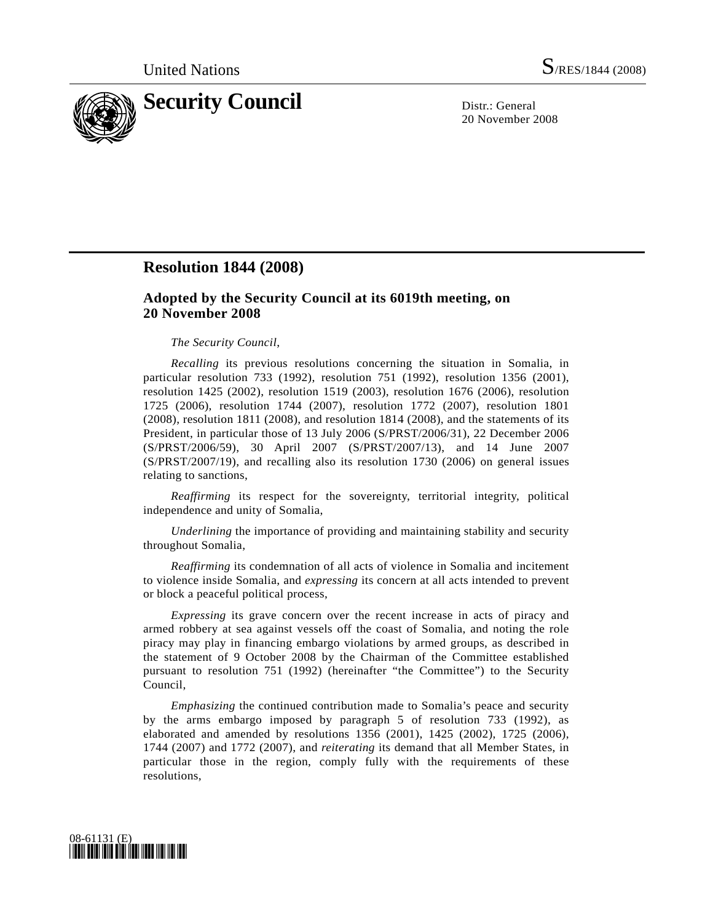

20 November 2008

# **Resolution 1844 (2008)**

## **Adopted by the Security Council at its 6019th meeting, on 20 November 2008**

#### *The Security Council*,

*Recalling* its previous resolutions concerning the situation in Somalia, in particular resolution 733 (1992), resolution 751 (1992), resolution 1356 (2001), resolution 1425 (2002), resolution 1519 (2003), resolution 1676 (2006), resolution 1725 (2006), resolution 1744 (2007), resolution 1772 (2007), resolution 1801 (2008), resolution 1811 (2008), and resolution 1814 (2008), and the statements of its President, in particular those of 13 July 2006 (S/PRST/2006/31), 22 December 2006 (S/PRST/2006/59), 30 April 2007 (S/PRST/2007/13), and 14 June 2007 (S/PRST/2007/19), and recalling also its resolution 1730 (2006) on general issues relating to sanctions,

*Reaffirming* its respect for the sovereignty, territorial integrity, political independence and unity of Somalia,

*Underlining* the importance of providing and maintaining stability and security throughout Somalia,

*Reaffirming* its condemnation of all acts of violence in Somalia and incitement to violence inside Somalia, and *expressing* its concern at all acts intended to prevent or block a peaceful political process,

*Expressing* its grave concern over the recent increase in acts of piracy and armed robbery at sea against vessels off the coast of Somalia, and noting the role piracy may play in financing embargo violations by armed groups, as described in the statement of 9 October 2008 by the Chairman of the Committee established pursuant to resolution 751 (1992) (hereinafter "the Committee") to the Security Council,

*Emphasizing* the continued contribution made to Somalia's peace and security by the arms embargo imposed by paragraph 5 of resolution 733 (1992), as elaborated and amended by resolutions 1356 (2001), 1425 (2002), 1725 (2006), 1744 (2007) and 1772 (2007), and *reiterating* its demand that all Member States, in particular those in the region, comply fully with the requirements of these resolutions,

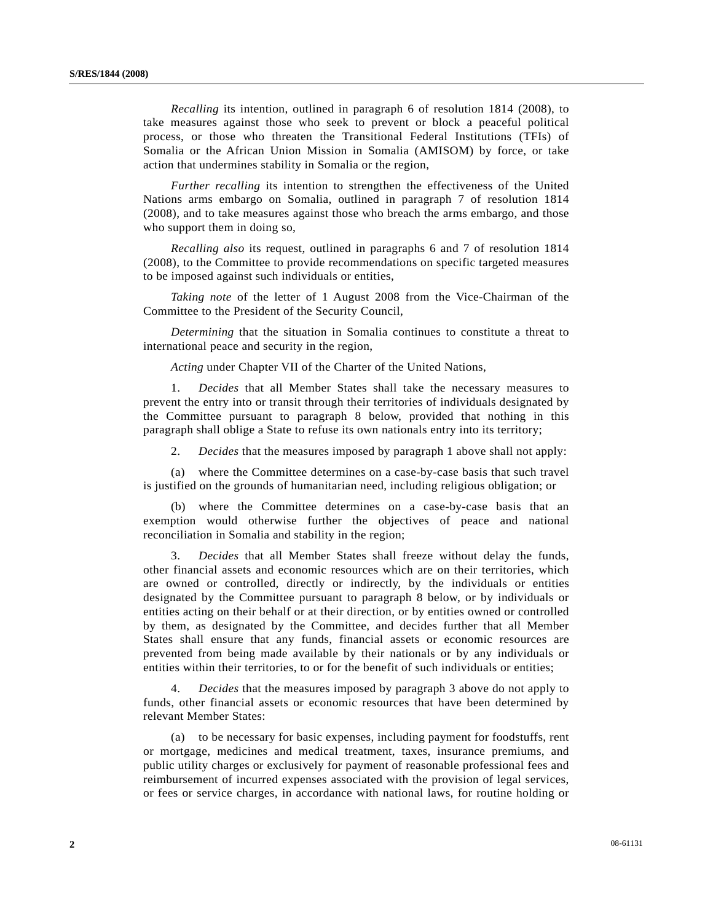*Recalling* its intention, outlined in paragraph 6 of resolution 1814 (2008), to take measures against those who seek to prevent or block a peaceful political process, or those who threaten the Transitional Federal Institutions (TFIs) of Somalia or the African Union Mission in Somalia (AMISOM) by force, or take action that undermines stability in Somalia or the region,

*Further recalling* its intention to strengthen the effectiveness of the United Nations arms embargo on Somalia, outlined in paragraph 7 of resolution 1814 (2008), and to take measures against those who breach the arms embargo, and those who support them in doing so,

*Recalling also* its request, outlined in paragraphs 6 and 7 of resolution 1814 (2008), to the Committee to provide recommendations on specific targeted measures to be imposed against such individuals or entities,

*Taking note* of the letter of 1 August 2008 from the Vice-Chairman of the Committee to the President of the Security Council,

*Determining* that the situation in Somalia continues to constitute a threat to international peace and security in the region,

*Acting* under Chapter VII of the Charter of the United Nations,

 1. *Decides* that all Member States shall take the necessary measures to prevent the entry into or transit through their territories of individuals designated by the Committee pursuant to paragraph 8 below, provided that nothing in this paragraph shall oblige a State to refuse its own nationals entry into its territory;

2. *Decides* that the measures imposed by paragraph 1 above shall not apply:

 (a) where the Committee determines on a case-by-case basis that such travel is justified on the grounds of humanitarian need, including religious obligation; or

 (b) where the Committee determines on a case-by-case basis that an exemption would otherwise further the objectives of peace and national reconciliation in Somalia and stability in the region;

 3. *Decides* that all Member States shall freeze without delay the funds, other financial assets and economic resources which are on their territories, which are owned or controlled, directly or indirectly, by the individuals or entities designated by the Committee pursuant to paragraph 8 below, or by individuals or entities acting on their behalf or at their direction, or by entities owned or controlled by them, as designated by the Committee, and decides further that all Member States shall ensure that any funds, financial assets or economic resources are prevented from being made available by their nationals or by any individuals or entities within their territories, to or for the benefit of such individuals or entities;

 4. *Decides* that the measures imposed by paragraph 3 above do not apply to funds, other financial assets or economic resources that have been determined by relevant Member States:

 (a) to be necessary for basic expenses, including payment for foodstuffs, rent or mortgage, medicines and medical treatment, taxes, insurance premiums, and public utility charges or exclusively for payment of reasonable professional fees and reimbursement of incurred expenses associated with the provision of legal services, or fees or service charges, in accordance with national laws, for routine holding or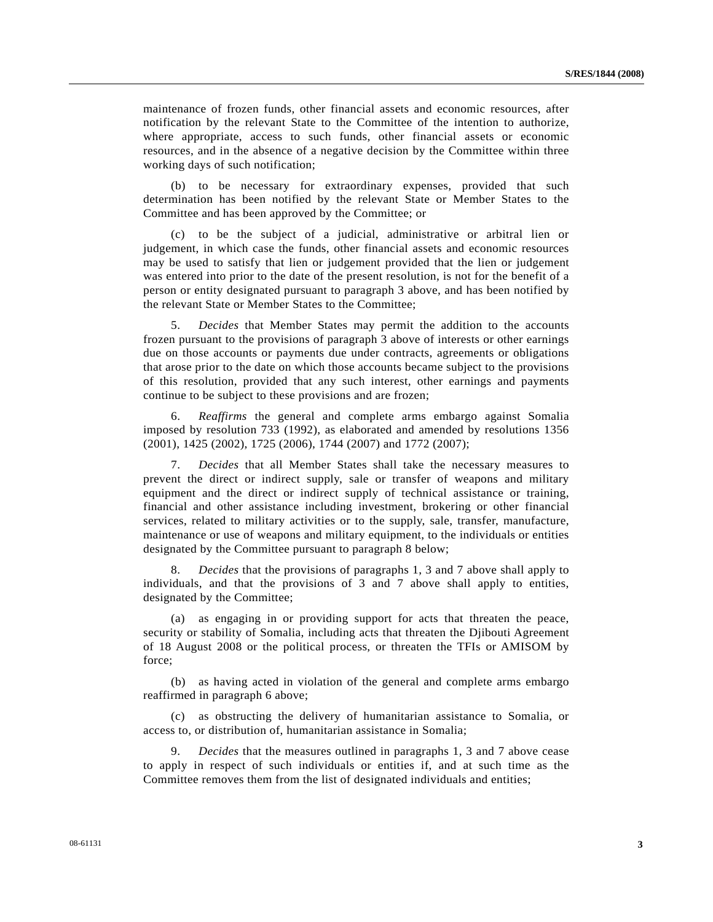maintenance of frozen funds, other financial assets and economic resources, after notification by the relevant State to the Committee of the intention to authorize, where appropriate, access to such funds, other financial assets or economic resources, and in the absence of a negative decision by the Committee within three working days of such notification;

 (b) to be necessary for extraordinary expenses, provided that such determination has been notified by the relevant State or Member States to the Committee and has been approved by the Committee; or

 (c) to be the subject of a judicial, administrative or arbitral lien or judgement, in which case the funds, other financial assets and economic resources may be used to satisfy that lien or judgement provided that the lien or judgement was entered into prior to the date of the present resolution, is not for the benefit of a person or entity designated pursuant to paragraph 3 above, and has been notified by the relevant State or Member States to the Committee;

 5. *Decides* that Member States may permit the addition to the accounts frozen pursuant to the provisions of paragraph 3 above of interests or other earnings due on those accounts or payments due under contracts, agreements or obligations that arose prior to the date on which those accounts became subject to the provisions of this resolution, provided that any such interest, other earnings and payments continue to be subject to these provisions and are frozen;

 6. *Reaffirms* the general and complete arms embargo against Somalia imposed by resolution 733 (1992), as elaborated and amended by resolutions 1356 (2001), 1425 (2002), 1725 (2006), 1744 (2007) and 1772 (2007);

 7. *Decides* that all Member States shall take the necessary measures to prevent the direct or indirect supply, sale or transfer of weapons and military equipment and the direct or indirect supply of technical assistance or training, financial and other assistance including investment, brokering or other financial services, related to military activities or to the supply, sale, transfer, manufacture, maintenance or use of weapons and military equipment, to the individuals or entities designated by the Committee pursuant to paragraph 8 below;

 8. *Decides* that the provisions of paragraphs 1, 3 and 7 above shall apply to individuals, and that the provisions of 3 and 7 above shall apply to entities, designated by the Committee;

 (a) as engaging in or providing support for acts that threaten the peace, security or stability of Somalia, including acts that threaten the Djibouti Agreement of 18 August 2008 or the political process, or threaten the TFIs or AMISOM by force;

 (b) as having acted in violation of the general and complete arms embargo reaffirmed in paragraph 6 above;

 (c) as obstructing the delivery of humanitarian assistance to Somalia, or access to, or distribution of, humanitarian assistance in Somalia;

 9. *Decides* that the measures outlined in paragraphs 1, 3 and 7 above cease to apply in respect of such individuals or entities if, and at such time as the Committee removes them from the list of designated individuals and entities;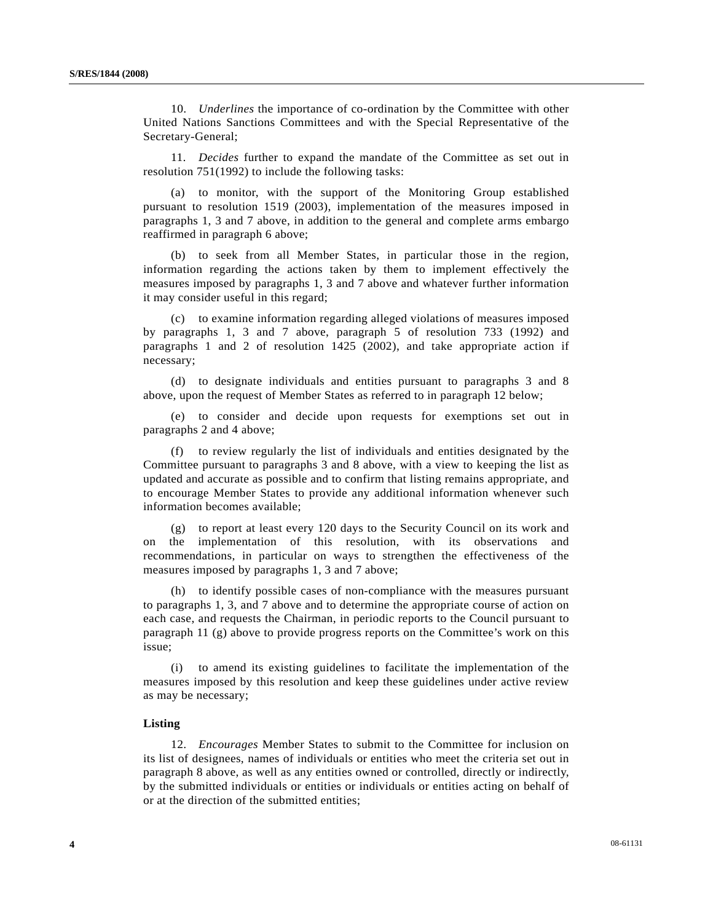10. *Underlines* the importance of co-ordination by the Committee with other United Nations Sanctions Committees and with the Special Representative of the Secretary-General;

 11. *Decides* further to expand the mandate of the Committee as set out in resolution 751(1992) to include the following tasks:

 (a) to monitor, with the support of the Monitoring Group established pursuant to resolution 1519 (2003), implementation of the measures imposed in paragraphs 1, 3 and 7 above, in addition to the general and complete arms embargo reaffirmed in paragraph 6 above;

 (b) to seek from all Member States, in particular those in the region, information regarding the actions taken by them to implement effectively the measures imposed by paragraphs 1, 3 and 7 above and whatever further information it may consider useful in this regard;

 (c) to examine information regarding alleged violations of measures imposed by paragraphs 1, 3 and 7 above, paragraph 5 of resolution 733 (1992) and paragraphs 1 and 2 of resolution 1425 (2002), and take appropriate action if necessary;

 (d) to designate individuals and entities pursuant to paragraphs 3 and 8 above, upon the request of Member States as referred to in paragraph 12 below;

 (e) to consider and decide upon requests for exemptions set out in paragraphs 2 and 4 above;

 (f) to review regularly the list of individuals and entities designated by the Committee pursuant to paragraphs 3 and 8 above, with a view to keeping the list as updated and accurate as possible and to confirm that listing remains appropriate, and to encourage Member States to provide any additional information whenever such information becomes available;

 (g) to report at least every 120 days to the Security Council on its work and on the implementation of this resolution, with its observations and recommendations, in particular on ways to strengthen the effectiveness of the measures imposed by paragraphs 1, 3 and 7 above;

 (h) to identify possible cases of non-compliance with the measures pursuant to paragraphs 1, 3, and 7 above and to determine the appropriate course of action on each case, and requests the Chairman, in periodic reports to the Council pursuant to paragraph 11 (g) above to provide progress reports on the Committee's work on this issue;

 (i) to amend its existing guidelines to facilitate the implementation of the measures imposed by this resolution and keep these guidelines under active review as may be necessary;

### **Listing**

 12. *Encourages* Member States to submit to the Committee for inclusion on its list of designees, names of individuals or entities who meet the criteria set out in paragraph 8 above, as well as any entities owned or controlled, directly or indirectly, by the submitted individuals or entities or individuals or entities acting on behalf of or at the direction of the submitted entities;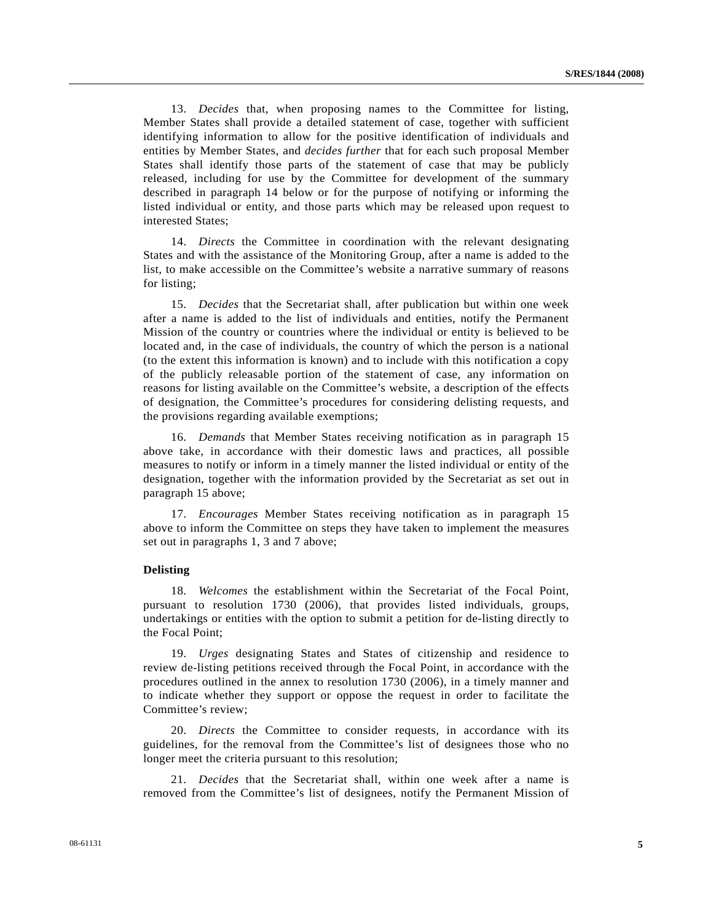13. *Decides* that, when proposing names to the Committee for listing, Member States shall provide a detailed statement of case, together with sufficient identifying information to allow for the positive identification of individuals and entities by Member States, and *decides further* that for each such proposal Member States shall identify those parts of the statement of case that may be publicly released, including for use by the Committee for development of the summary described in paragraph 14 below or for the purpose of notifying or informing the listed individual or entity, and those parts which may be released upon request to interested States;

 14. *Directs* the Committee in coordination with the relevant designating States and with the assistance of the Monitoring Group, after a name is added to the list, to make accessible on the Committee's website a narrative summary of reasons for listing;

 15. *Decides* that the Secretariat shall, after publication but within one week after a name is added to the list of individuals and entities, notify the Permanent Mission of the country or countries where the individual or entity is believed to be located and, in the case of individuals, the country of which the person is a national (to the extent this information is known) and to include with this notification a copy of the publicly releasable portion of the statement of case, any information on reasons for listing available on the Committee's website, a description of the effects of designation, the Committee's procedures for considering delisting requests, and the provisions regarding available exemptions;

 16. *Demands* that Member States receiving notification as in paragraph 15 above take, in accordance with their domestic laws and practices, all possible measures to notify or inform in a timely manner the listed individual or entity of the designation, together with the information provided by the Secretariat as set out in paragraph 15 above;

 17. *Encourages* Member States receiving notification as in paragraph 15 above to inform the Committee on steps they have taken to implement the measures set out in paragraphs 1, 3 and 7 above;

#### **Delisting**

 18. *Welcomes* the establishment within the Secretariat of the Focal Point, pursuant to resolution 1730 (2006), that provides listed individuals, groups, undertakings or entities with the option to submit a petition for de-listing directly to the Focal Point;

 19. *Urges* designating States and States of citizenship and residence to review de-listing petitions received through the Focal Point, in accordance with the procedures outlined in the annex to resolution 1730 (2006), in a timely manner and to indicate whether they support or oppose the request in order to facilitate the Committee's review;

 20. *Directs* the Committee to consider requests, in accordance with its guidelines, for the removal from the Committee's list of designees those who no longer meet the criteria pursuant to this resolution;

 21. *Decides* that the Secretariat shall, within one week after a name is removed from the Committee's list of designees, notify the Permanent Mission of